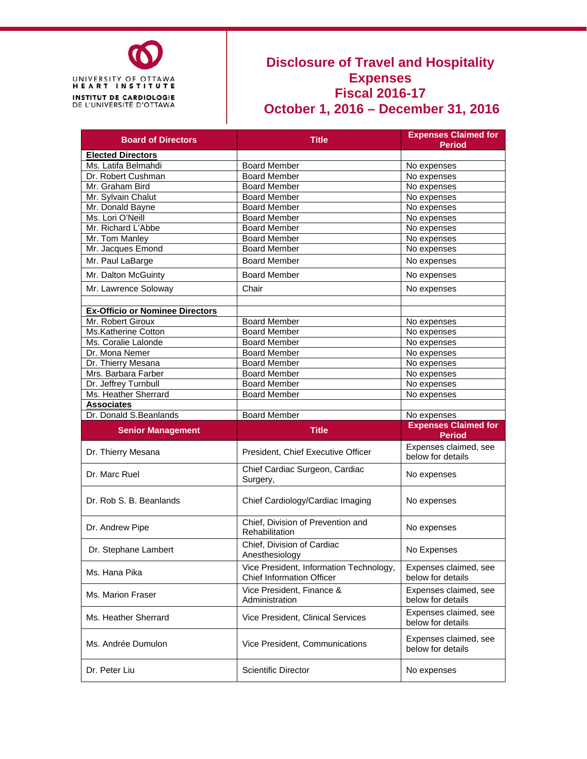

#### **Disclosure of Travel and Hospitality Expenses Fiscal 2016-17 October 1, 2016 – December 31, 2016**

| <b>Board of Directors</b>              | <b>Title</b>                                                                |                                            |
|----------------------------------------|-----------------------------------------------------------------------------|--------------------------------------------|
|                                        |                                                                             | <b>Period</b>                              |
| <b>Elected Directors</b>               |                                                                             |                                            |
| Ms. Latifa Belmahdi                    | <b>Board Member</b>                                                         | No expenses                                |
| Dr. Robert Cushman                     | <b>Board Member</b>                                                         | No expenses                                |
| Mr. Graham Bird                        | <b>Board Member</b>                                                         | No expenses                                |
| Mr. Sylvain Chalut                     | <b>Board Member</b>                                                         | No expenses                                |
| Mr. Donald Bayne                       | <b>Board Member</b>                                                         | No expenses                                |
| Ms. Lori O'Neill                       | <b>Board Member</b>                                                         | No expenses                                |
| Mr. Richard L'Abbe                     | <b>Board Member</b>                                                         | No expenses                                |
| Mr. Tom Manley                         | <b>Board Member</b>                                                         | No expenses                                |
| Mr. Jacques Emond                      | <b>Board Member</b>                                                         | No expenses                                |
| Mr. Paul LaBarge                       | <b>Board Member</b>                                                         | No expenses                                |
| Mr. Dalton McGuinty                    | <b>Board Member</b>                                                         | No expenses                                |
| Mr. Lawrence Soloway                   | Chair                                                                       | No expenses                                |
|                                        |                                                                             |                                            |
| <b>Ex-Officio or Nominee Directors</b> |                                                                             |                                            |
| Mr. Robert Giroux                      | <b>Board Member</b>                                                         | No expenses                                |
| Ms.Katherine Cotton                    | <b>Board Member</b>                                                         | No expenses                                |
| Ms. Coralie Lalonde                    | <b>Board Member</b>                                                         | No expenses                                |
| Dr. Mona Nemer                         | <b>Board Member</b>                                                         | No expenses                                |
| Dr. Thierry Mesana                     | <b>Board Member</b>                                                         | No expenses                                |
| Mrs. Barbara Farber                    | <b>Board Member</b>                                                         | No expenses                                |
| Dr. Jeffrey Turnbull                   | <b>Board Member</b>                                                         | No expenses                                |
| Ms. Heather Sherrard                   | <b>Board Member</b>                                                         | No expenses                                |
| <b>Associates</b>                      |                                                                             |                                            |
|                                        |                                                                             |                                            |
|                                        |                                                                             |                                            |
| Dr. Donald S.Beanlands                 | <b>Board Member</b>                                                         | No expenses<br><b>Expenses Claimed for</b> |
| <b>Senior Management</b>               | <b>Title</b>                                                                | <b>Period</b>                              |
| Dr. Thierry Mesana                     | President, Chief Executive Officer                                          | Expenses claimed, see<br>below for details |
| Dr. Marc Ruel                          | Chief Cardiac Surgeon, Cardiac<br>Surgery,                                  | No expenses                                |
| Dr. Rob S. B. Beanlands                | Chief Cardiology/Cardiac Imaging                                            | No expenses                                |
| Dr. Andrew Pipe                        | Chief, Division of Prevention and<br>Rehabilitation                         | No expenses                                |
| Dr. Stephane Lambert                   | Chief, Division of Cardiac<br>Anesthesiology                                | No Expenses                                |
| Ms. Hana Pika                          | Vice President, Information Technology,<br><b>Chief Information Officer</b> | Expenses claimed, see<br>below for details |
| Ms. Marion Fraser                      | Vice President. Finance &<br>Administration                                 | Expenses claimed, see<br>below for details |
| Ms. Heather Sherrard                   | Vice President, Clinical Services                                           | Expenses claimed, see<br>below for details |
| Ms. Andrée Dumulon                     | Vice President, Communications                                              | Expenses claimed, see<br>below for details |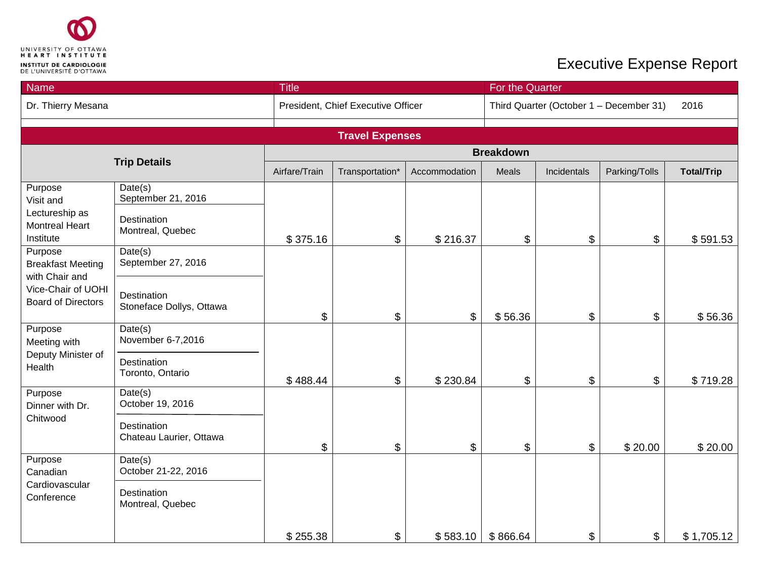

| Name                                                  |                                         | <b>Title</b>  |                                    |               |          | For the Quarter                                 |               |                   |  |  |  |
|-------------------------------------------------------|-----------------------------------------|---------------|------------------------------------|---------------|----------|-------------------------------------------------|---------------|-------------------|--|--|--|
| Dr. Thierry Mesana                                    |                                         |               | President, Chief Executive Officer |               |          | Third Quarter (October 1 - December 31)<br>2016 |               |                   |  |  |  |
|                                                       |                                         |               | <b>Travel Expenses</b>             |               |          |                                                 |               |                   |  |  |  |
|                                                       |                                         |               | <b>Breakdown</b>                   |               |          |                                                 |               |                   |  |  |  |
|                                                       | <b>Trip Details</b>                     | Airfare/Train | Transportation*                    | Accommodation | Meals    | Incidentals                                     | Parking/Tolls | <b>Total/Trip</b> |  |  |  |
| Purpose<br>Visit and                                  | Date(s)<br>September 21, 2016           |               |                                    |               |          |                                                 |               |                   |  |  |  |
| Lectureship as<br><b>Montreal Heart</b><br>Institute  | Destination<br>Montreal, Quebec         | \$375.16      | \$                                 | \$216.37      | \$       | \$                                              | \$            | \$591.53          |  |  |  |
| Purpose<br><b>Breakfast Meeting</b><br>with Chair and | Date(s)<br>September 27, 2016           |               |                                    |               |          |                                                 |               |                   |  |  |  |
| Vice-Chair of UOHI<br><b>Board of Directors</b>       | Destination<br>Stoneface Dollys, Ottawa | \$            | \$                                 | \$            | \$56.36  | \$                                              | \$            | \$56.36           |  |  |  |
| Purpose<br>Meeting with                               | Date(s)<br>November 6-7,2016            |               |                                    |               |          |                                                 |               |                   |  |  |  |
| Deputy Minister of<br>Health                          | Destination<br>Toronto, Ontario         | \$488.44      | \$                                 | \$230.84      | \$       | \$                                              | \$            | \$719.28          |  |  |  |
| Purpose<br>Dinner with Dr.                            | Date(s)<br>October 19, 2016             |               |                                    |               |          |                                                 |               |                   |  |  |  |
| Chitwood                                              | Destination<br>Chateau Laurier, Ottawa  | \$            | \$                                 | \$            | \$       | \$                                              | \$20.00       | \$20.00           |  |  |  |
| Purpose<br>Canadian<br>Cardiovascular<br>Conference   | Date(s)<br>October 21-22, 2016          |               |                                    |               |          |                                                 |               |                   |  |  |  |
|                                                       | Destination<br>Montreal, Quebec         |               |                                    |               |          |                                                 |               |                   |  |  |  |
|                                                       |                                         | \$255.38      | \$                                 | \$583.10      | \$866.64 | \$                                              | \$            | \$1,705.12        |  |  |  |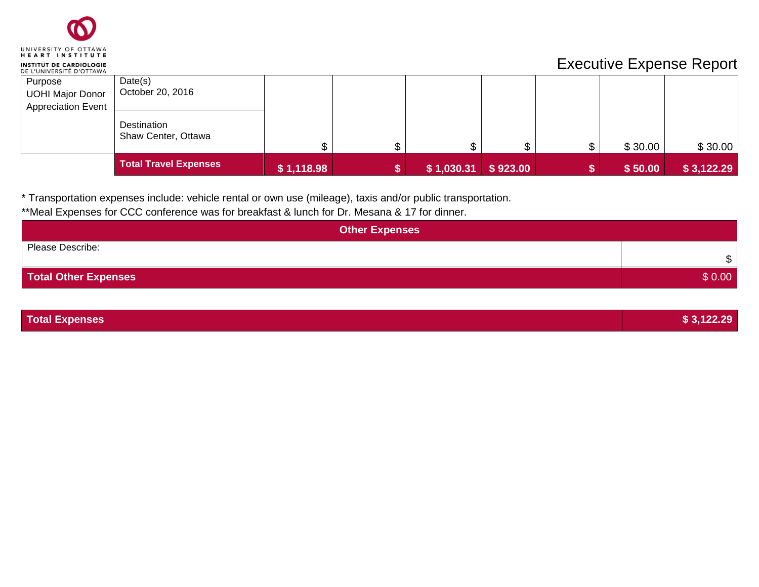

|                                                                 | Total Travel Expenses              | \$1,118.98 | $\vert$ \$ 1,030.31 \$ 923.00 |  | \$50.00 | \$3,122.29 |
|-----------------------------------------------------------------|------------------------------------|------------|-------------------------------|--|---------|------------|
|                                                                 | Destination<br>Shaw Center, Ottawa |            | ጦ                             |  | \$30.00 | \$30.00    |
| Purpose<br><b>UOHI Major Donor</b><br><b>Appreciation Event</b> | Date(s)<br>October 20, 2016        |            |                               |  |         |            |

\* Transportation expenses include: vehicle rental or own use (mileage), taxis and/or public transportation.

\*\*Meal Expenses for CCC conference was for breakfast & lunch for Dr. Mesana & 17 for dinner.

| <b>Other Expenses</b>       |              |
|-----------------------------|--------------|
| Please Describe:            | $\mathbb{S}$ |
| <b>Total Other Expenses</b> | \$0.00       |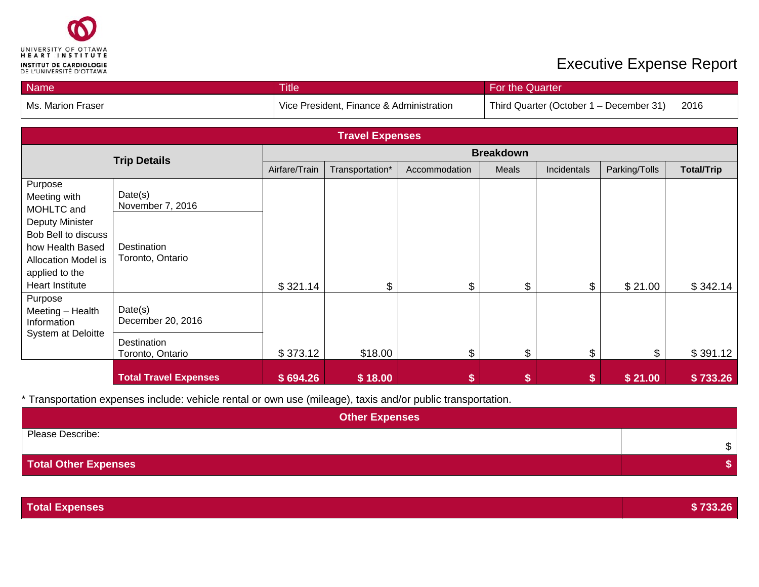

| <b>Name</b>       | <b>Title</b>                             | For the Quarter                         |      |
|-------------------|------------------------------------------|-----------------------------------------|------|
| Ms. Marion Fraser | Vice President, Finance & Administration | Third Quarter (October 1 - December 31) | 2016 |

| <b>Travel Expenses</b>                                                                                                                                                               |                                                                |                  |                 |               |               |             |               |                   |  |
|--------------------------------------------------------------------------------------------------------------------------------------------------------------------------------------|----------------------------------------------------------------|------------------|-----------------|---------------|---------------|-------------|---------------|-------------------|--|
| <b>Trip Details</b>                                                                                                                                                                  |                                                                | <b>Breakdown</b> |                 |               |               |             |               |                   |  |
|                                                                                                                                                                                      |                                                                | Airfare/Train    | Transportation* | Accommodation | Meals         | Incidentals | Parking/Tolls | <b>Total/Trip</b> |  |
| Purpose<br>Meeting with<br>MOHLTC and<br><b>Deputy Minister</b><br>Bob Bell to discuss<br>how Health Based<br><b>Allocation Model is</b><br>applied to the<br><b>Heart Institute</b> | Date(s)<br>November 7, 2016<br>Destination<br>Toronto, Ontario | \$321.14         | \$              | \$            | \$            | \$          | \$21.00       | \$342.14          |  |
| Purpose<br>Meeting - Health<br>Information<br>System at Deloitte                                                                                                                     | Date(s)<br>December 20, 2016<br>Destination                    |                  |                 |               |               |             |               |                   |  |
|                                                                                                                                                                                      | Toronto, Ontario                                               | \$373.12         | \$18.00         | \$            | $\frac{1}{2}$ | \$          | \$            | \$391.12          |  |
|                                                                                                                                                                                      | <b>Total Travel Expenses</b>                                   | \$694.26         | \$18.00         |               |               |             | \$21.00       | \$733.26          |  |

\* Transportation expenses include: vehicle rental or own use (mileage), taxis and/or public transportation.

| <b>Other Expenses</b>       |    |
|-----------------------------|----|
| Please Describe:            | \$ |
| <b>Total Other Expenses</b> |    |

**Total Expenses \$ 733.26**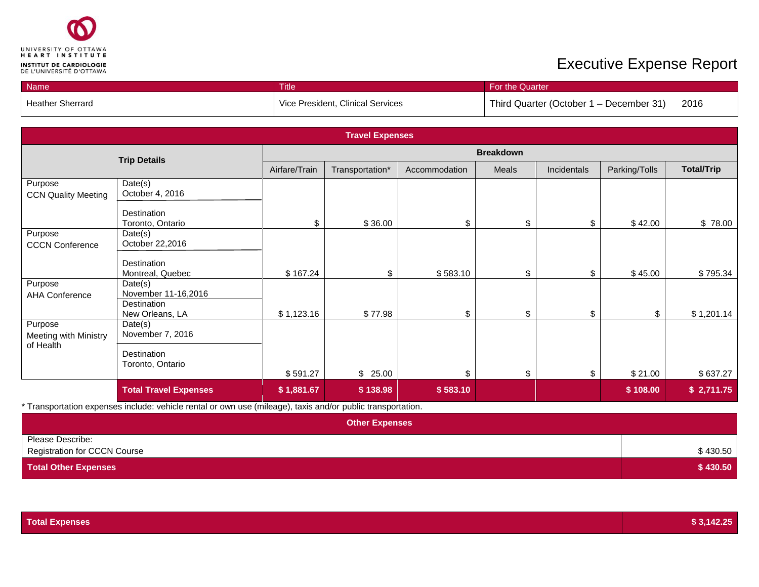

| Name <sup>1</sup>       | <b>Title</b>                      | <b>For the Quarter</b>                          |
|-------------------------|-----------------------------------|-------------------------------------------------|
| <b>Heather Sherrard</b> | Vice President, Clinical Services | 2016<br>Third Quarter (October 1 – December 31) |

| <b>Travel Expenses</b>                |                                 |                  |                 |               |              |             |               |                   |
|---------------------------------------|---------------------------------|------------------|-----------------|---------------|--------------|-------------|---------------|-------------------|
|                                       | <b>Trip Details</b>             | <b>Breakdown</b> |                 |               |              |             |               |                   |
|                                       |                                 | Airfare/Train    | Transportation* | Accommodation | <b>Meals</b> | Incidentals | Parking/Tolls | <b>Total/Trip</b> |
| Purpose<br><b>CCN Quality Meeting</b> | Date(s)<br>October 4, 2016      |                  |                 |               |              |             |               |                   |
|                                       | Destination<br>Toronto, Ontario | \$               | \$36.00         | \$            | \$           | \$          | \$42.00       | \$78.00           |
| Purpose<br><b>CCCN Conference</b>     | Date(s)<br>October 22,2016      |                  |                 |               |              |             |               |                   |
|                                       | Destination<br>Montreal, Quebec | \$167.24         | \$              | \$583.10      | \$           | \$          | \$45.00       | \$795.34          |
| Purpose<br><b>AHA Conference</b>      | Date(s)<br>November 11-16,2016  |                  |                 |               |              |             |               |                   |
|                                       | Destination<br>New Orleans, LA  | \$1,123.16       | \$77.98         | \$            | \$           | \$          | \$            | \$1,201.14        |
| Purpose<br>Meeting with Ministry      | Date(s)<br>November 7, 2016     |                  |                 |               |              |             |               |                   |
| of Health                             | Destination<br>Toronto, Ontario |                  |                 |               |              |             |               |                   |
|                                       |                                 | \$591.27         | \$25.00         | \$            | \$           | \$          | \$21.00       | \$637.27          |
|                                       | <b>Total Travel Expenses</b>    | \$1,881.67       | \$138.98        | \$583.10      |              |             | \$108.00      | \$2,711.75        |

\* Transportation expenses include: vehicle rental or own use (mileage), taxis and/or public transportation.

| <b>Other Expenses</b>                                   |          |
|---------------------------------------------------------|----------|
| Please Describe:<br><b>Registration for CCCN Course</b> | \$430.50 |
| <b>Total Other Expenses</b>                             | \$430.50 |

| <b>Total Expenses</b> | \$3,142.25 |
|-----------------------|------------|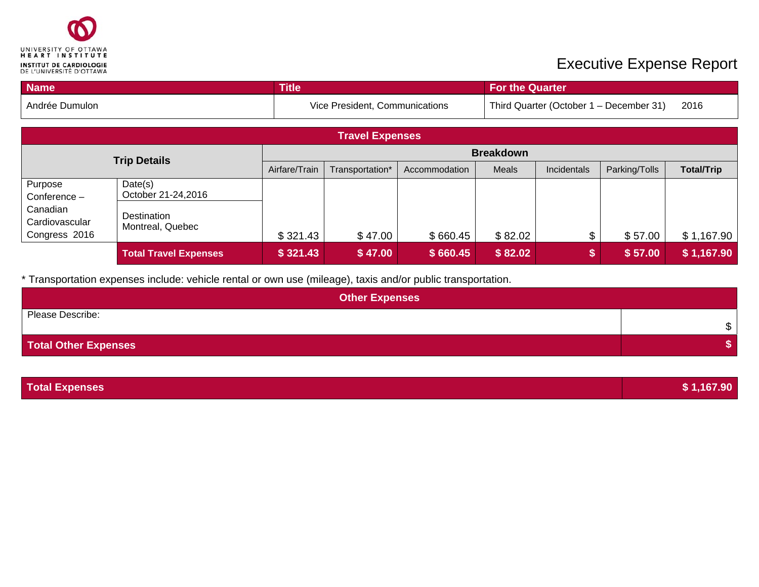

| <b>Name</b>                                 |                                 | <b>Title</b>     |                                |               | <b>For the Quarter</b> |             |                                         |                   |  |  |
|---------------------------------------------|---------------------------------|------------------|--------------------------------|---------------|------------------------|-------------|-----------------------------------------|-------------------|--|--|
| Andrée Dumulon                              |                                 |                  | Vice President, Communications |               |                        |             | Third Quarter (October 1 – December 31) | 2016              |  |  |
| <b>Travel Expenses</b>                      |                                 |                  |                                |               |                        |             |                                         |                   |  |  |
| <b>Trip Details</b>                         |                                 | <b>Breakdown</b> |                                |               |                        |             |                                         |                   |  |  |
|                                             |                                 | Airfare/Train    | Transportation*                | Accommodation | Meals                  | Incidentals | Parking/Tolls                           | <b>Total/Trip</b> |  |  |
| Purpose<br>Conference $-$                   | Date(s)<br>October 21-24,2016   |                  |                                |               |                        |             |                                         |                   |  |  |
| Canadian<br>Cardiovascular<br>Congress 2016 | Destination<br>Montreal, Quebec | \$321.43         | \$47.00                        | \$660.45      | \$82.02                | \$          | \$57.00                                 | \$1,167.90        |  |  |
|                                             | <b>Total Travel Expenses</b>    | \$321.43         | \$47.00                        | \$660.45      | \$82.02                |             | \$57.00                                 | \$1,167.90        |  |  |

\* Transportation expenses include: vehicle rental or own use (mileage), taxis and/or public transportation.

| <b>Other Expenses</b>       |    |  |  |  |  |  |
|-----------------------------|----|--|--|--|--|--|
| Please Describe:            | \$ |  |  |  |  |  |
| <b>Total Other Expenses</b> |    |  |  |  |  |  |

| <b>Total Expenses</b> | \$1,167.90 |
|-----------------------|------------|
|                       |            |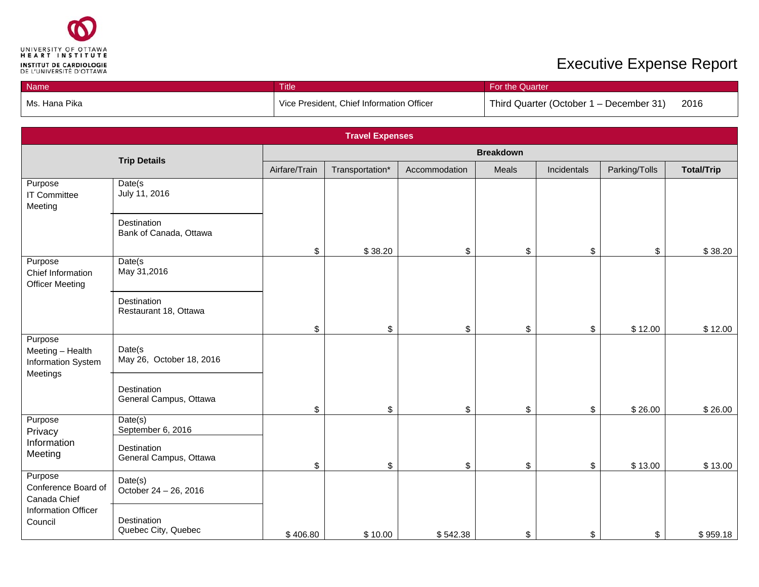

| Name            | Title                                     | <b>For the Quarter</b>                          |  |  |  |
|-----------------|-------------------------------------------|-------------------------------------------------|--|--|--|
| l Ms. Hana Pika | Vice President, Chief Information Officer | 2016<br>Third Quarter (October 1 – December 31) |  |  |  |

| <b>Travel Expenses</b>                                        |                                         |               |                 |               |       |             |               |                   |
|---------------------------------------------------------------|-----------------------------------------|---------------|-----------------|---------------|-------|-------------|---------------|-------------------|
|                                                               | <b>Breakdown</b><br><b>Trip Details</b> |               |                 |               |       |             |               |                   |
|                                                               |                                         | Airfare/Train | Transportation* | Accommodation | Meals | Incidentals | Parking/Tolls | <b>Total/Trip</b> |
| Purpose<br>IT Committee<br>Meeting                            | Date(s<br>July 11, 2016                 |               |                 |               |       |             |               |                   |
|                                                               | Destination<br>Bank of Canada, Ottawa   |               |                 |               |       |             |               |                   |
| Purpose                                                       | Date(s                                  | \$            | \$38.20         | \$            | \$    | \$          | \$            | \$38.20           |
| Chief Information<br><b>Officer Meeting</b>                   | May 31,2016                             |               |                 |               |       |             |               |                   |
|                                                               | Destination<br>Restaurant 18, Ottawa    |               |                 |               |       |             |               |                   |
|                                                               |                                         | \$            | \$              | \$            | \$    | \$          | \$12.00       | \$12.00           |
| Purpose<br>Meeting - Health<br>Information System<br>Meetings | Date(s<br>May 26, October 18, 2016      |               |                 |               |       |             |               |                   |
|                                                               | Destination<br>General Campus, Ottawa   | \$            | \$              | \$            | \$    | \$          | \$26.00       | \$26.00           |
| Purpose                                                       | Date(s)<br>September 6, 2016            |               |                 |               |       |             |               |                   |
| Privacy<br>Information<br>Meeting                             | Destination<br>General Campus, Ottawa   | \$            | \$              | \$            | \$    | \$          | \$13.00       | \$13.00           |
| Purpose<br>Conference Board of<br>Canada Chief                | Date(s)<br>October 24 - 26, 2016        |               |                 |               |       |             |               |                   |
| Information Officer<br>Council                                | Destination<br>Quebec City, Quebec      | \$406.80      | \$10.00         | \$542.38      | \$    | \$          | \$            | \$959.18          |